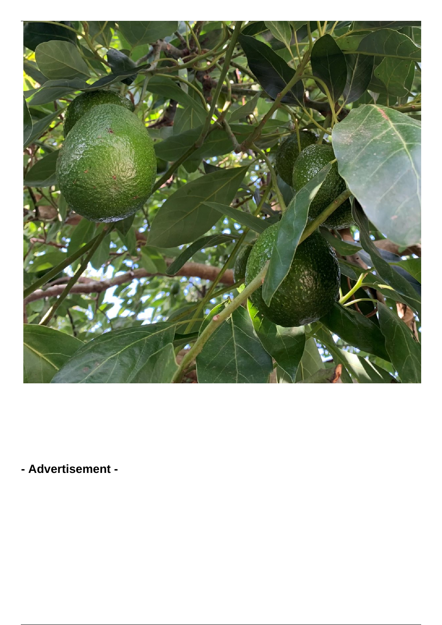

**- Advertisement -**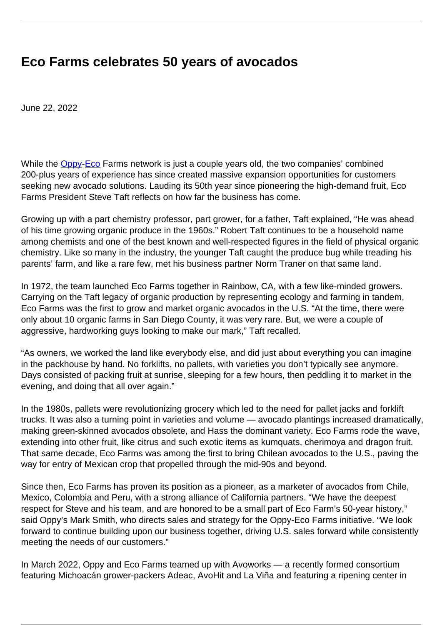## **Eco Farms celebrates 50 years of avocados**

June 22, 2022

While the **[Oppy](https://oppy.com/)[-Eco](https://ecofarmsavocados.com/)** Farms network is just a couple years old, the two companies' combined 200-plus years of experience has since created massive expansion opportunities for customers seeking new avocado solutions. Lauding its 50th year since pioneering the high-demand fruit, Eco Farms President Steve Taft reflects on how far the business has come.

Growing up with a part chemistry professor, part grower, for a father, Taft explained, "He was ahead of his time growing organic produce in the 1960s." Robert Taft continues to be a household name among chemists and one of the best known and well-respected figures in the field of physical organic chemistry. Like so many in the industry, the younger Taft caught the produce bug while treading his parents' farm, and like a rare few, met his business partner Norm Traner on that same land.

In 1972, the team launched Eco Farms together in Rainbow, CA, with a few like-minded growers. Carrying on the Taft legacy of organic production by representing ecology and farming in tandem, Eco Farms was the first to grow and market organic avocados in the U.S. "At the time, there were only about 10 organic farms in San Diego County, it was very rare. But, we were a couple of aggressive, hardworking guys looking to make our mark," Taft recalled.

"As owners, we worked the land like everybody else, and did just about everything you can imagine in the packhouse by hand. No forklifts, no pallets, with varieties you don't typically see anymore. Days consisted of packing fruit at sunrise, sleeping for a few hours, then peddling it to market in the evening, and doing that all over again."

In the 1980s, pallets were revolutionizing grocery which led to the need for pallet jacks and forklift trucks. It was also a turning point in varieties and volume — avocado plantings increased dramatically, making green-skinned avocados obsolete, and Hass the dominant variety. Eco Farms rode the wave, extending into other fruit, like citrus and such exotic items as kumquats, cherimoya and dragon fruit. That same decade, Eco Farms was among the first to bring Chilean avocados to the U.S., paving the way for entry of Mexican crop that propelled through the mid-90s and beyond.

Since then, Eco Farms has proven its position as a pioneer, as a marketer of avocados from Chile, Mexico, Colombia and Peru, with a strong alliance of California partners. "We have the deepest respect for Steve and his team, and are honored to be a small part of Eco Farm's 50-year history," said Oppy's Mark Smith, who directs sales and strategy for the Oppy-Eco Farms initiative. "We look forward to continue building upon our business together, driving U.S. sales forward while consistently meeting the needs of our customers."

In March 2022, Oppy and Eco Farms teamed up with Avoworks — a recently formed consortium featuring Michoacán grower-packers Adeac, AvoHit and La Viña and featuring a ripening center in